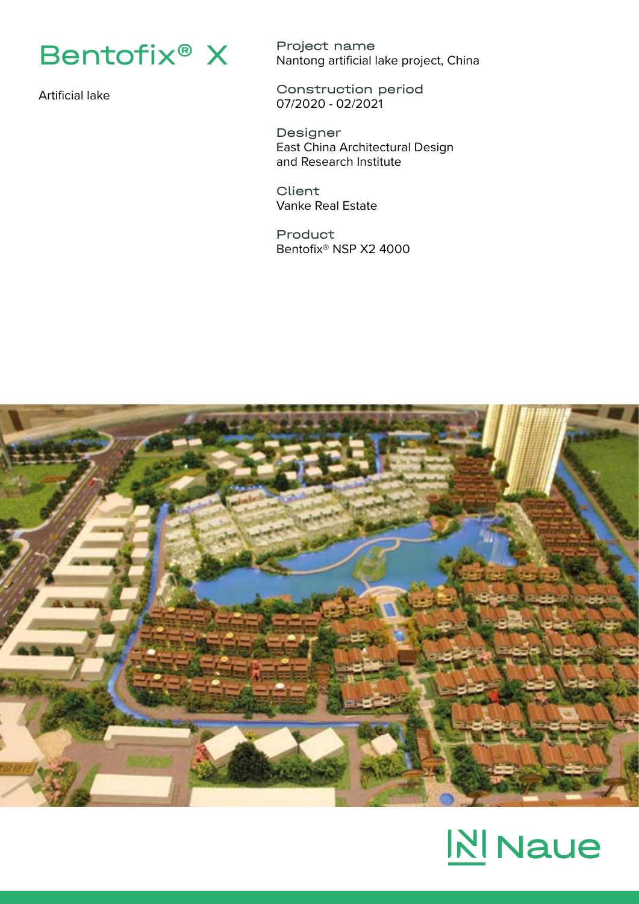

Artificial lake

Project name Nantong artificial lake project, China

Construction period 07/2020 - 02/2021

Designer East China Architectural Design and Research Institute

**Client** Vanke Real Estate

Product Bentofix® NSP X2 4000



## **N** Naue